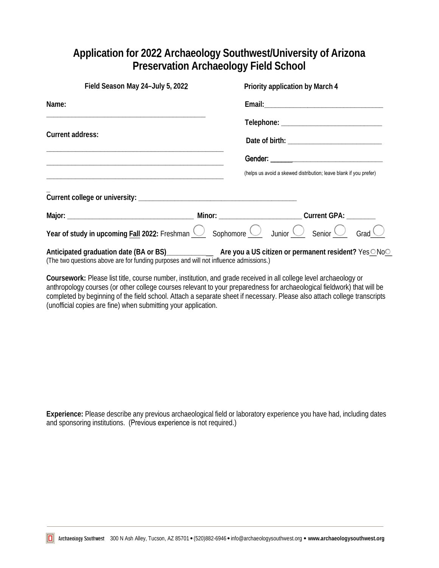## **Application for 202**2 **Archaeology Southwest/University of Arizona Preservation Archaeology Field School**

| Field Season May 24-July 5, 2022                                                                                                                                                                     | Priority application by March 4 |  |                                                                   |  |
|------------------------------------------------------------------------------------------------------------------------------------------------------------------------------------------------------|---------------------------------|--|-------------------------------------------------------------------|--|
| Name:                                                                                                                                                                                                |                                 |  |                                                                   |  |
| Current address:                                                                                                                                                                                     |                                 |  |                                                                   |  |
|                                                                                                                                                                                                      |                                 |  |                                                                   |  |
|                                                                                                                                                                                                      |                                 |  |                                                                   |  |
|                                                                                                                                                                                                      |                                 |  | (helps us avoid a skewed distribution; leave blank if you prefer) |  |
|                                                                                                                                                                                                      |                                 |  |                                                                   |  |
|                                                                                                                                                                                                      |                                 |  |                                                                   |  |
| Year of study in upcoming Fall 2022: Freshman $\bigcirc$ Sophomore $\bigcirc$ Junior $\bigcirc$ Senior $\bigcirc$ Grad $\bigcirc$                                                                    |                                 |  |                                                                   |  |
| Anticipated graduation date (BA or BS)________________ Are you a US citizen or permanent resident? Yes ONoO<br>(The two questions above are for funding purposes and will not influence admissions.) |                                 |  |                                                                   |  |

**Coursework:** Please list title, course number, institution, and grade received in all college level archaeology or anthropology courses (or other college courses relevant to your preparedness for archaeological fieldwork) that will be completed by beginning of the field school. Attach a separate sheet if necessary. Please also attach college transcripts (unofficial copies are fine) when submitting your application.

**Experience:** Please describe any previous archaeological field or laboratory experience you have had, including dates and sponsoring institutions. (Previous experience is not required.)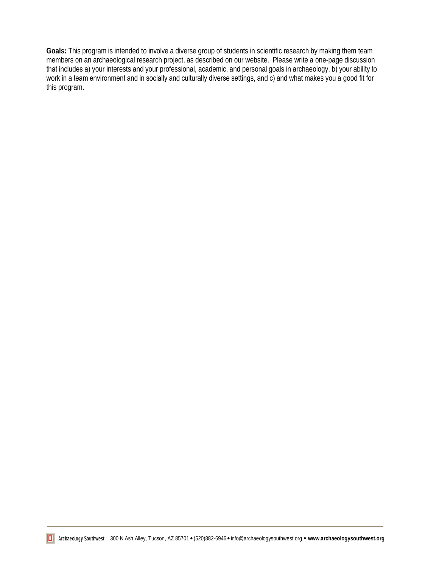**Goals:** This program is intended to involve a diverse group of students in scientific research by making them team members on an archaeological research project, as described on our website. Please write a one-page discussion that includes a) your interests and your professional, academic, and personal goals in archaeology, b) your ability to work in a team environment and in socially and culturally diverse settings, and c) and what makes you a good fit for this program.